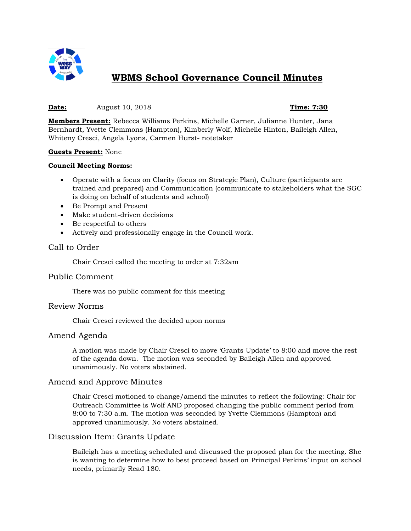

# **WBMS School Governance Council Minutes**

# **Date:** August 10, 2018 **Time: 7:30**

**Members Present:** Rebecca Williams Perkins, Michelle Garner, Julianne Hunter, Jana Bernhardt, Yvette Clemmons (Hampton), Kimberly Wolf, Michelle Hinton, Baileigh Allen, Whiteny Cresci, Angela Lyons, Carmen Hurst- notetaker

#### **Guests Present:** None

#### **Council Meeting Norms:**

- Operate with a focus on Clarity (focus on Strategic Plan), Culture (participants are trained and prepared) and Communication (communicate to stakeholders what the SGC is doing on behalf of students and school)
- Be Prompt and Present
- Make student-driven decisions
- Be respectful to others
- Actively and professionally engage in the Council work.

# Call to Order

Chair Cresci called the meeting to order at 7:32am

#### Public Comment

There was no public comment for this meeting

#### Review Norms

Chair Cresci reviewed the decided upon norms

#### Amend Agenda

A motion was made by Chair Cresci to move 'Grants Update' to 8:00 and move the rest of the agenda down. The motion was seconded by Baileigh Allen and approved unanimously. No voters abstained.

# Amend and Approve Minutes

Chair Cresci motioned to change/amend the minutes to reflect the following: Chair for Outreach Committee is Wolf AND proposed changing the public comment period from 8:00 to 7:30 a.m. The motion was seconded by Yvette Clemmons (Hampton) and approved unanimously. No voters abstained.

# Discussion Item: Grants Update

Baileigh has a meeting scheduled and discussed the proposed plan for the meeting. She is wanting to determine how to best proceed based on Principal Perkins' input on school needs, primarily Read 180.